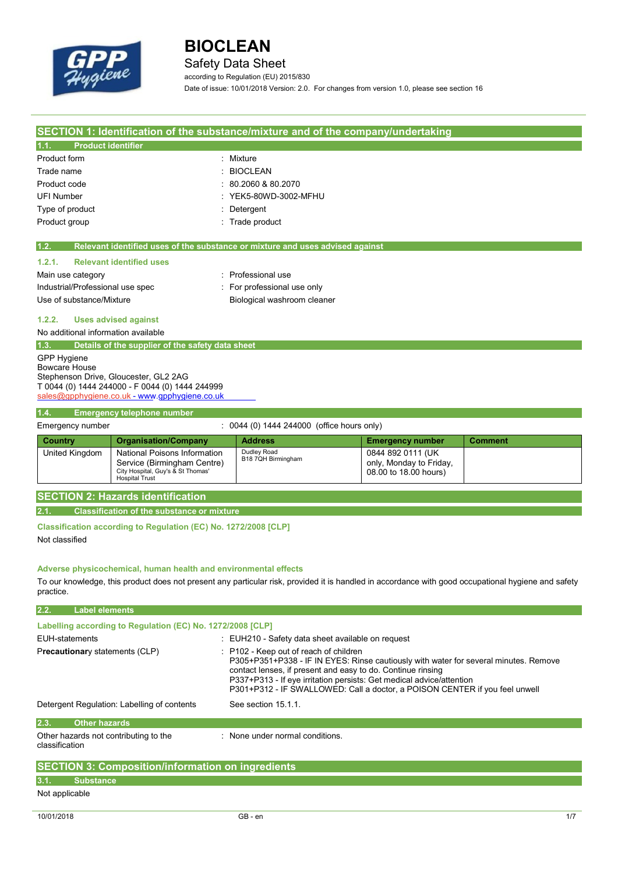

Safety Data Sheet

according to Regulation (EU) 2015/830

Date of issue: 10/01/2018 Version: 2.0. For changes from version 1.0, please see section 16

| SECTION 1: Identification of the substance/mixture and of the company/undertaking |                                                                 |                                                                                                                                                     |                         |                |
|-----------------------------------------------------------------------------------|-----------------------------------------------------------------|-----------------------------------------------------------------------------------------------------------------------------------------------------|-------------------------|----------------|
| <b>Product identifier</b><br>1.1.                                                 |                                                                 |                                                                                                                                                     |                         |                |
| Product form                                                                      |                                                                 | Mixture                                                                                                                                             |                         |                |
| Trade name                                                                        |                                                                 | <b>BIOCLEAN</b>                                                                                                                                     |                         |                |
| Product code                                                                      |                                                                 | 80.2060 & 80.2070                                                                                                                                   |                         |                |
| <b>UFI Number</b>                                                                 |                                                                 | YEK5-80WD-3002-MFHU                                                                                                                                 |                         |                |
| Type of product                                                                   |                                                                 | Detergent                                                                                                                                           |                         |                |
| Product group                                                                     |                                                                 | : Trade product                                                                                                                                     |                         |                |
|                                                                                   |                                                                 |                                                                                                                                                     |                         |                |
| 1.2.                                                                              |                                                                 | Relevant identified uses of the substance or mixture and uses advised against                                                                       |                         |                |
| 1.2.1.                                                                            | <b>Relevant identified uses</b>                                 |                                                                                                                                                     |                         |                |
| Main use category                                                                 |                                                                 | : Professional use                                                                                                                                  |                         |                |
| Industrial/Professional use spec                                                  |                                                                 | For professional use only                                                                                                                           |                         |                |
| Use of substance/Mixture                                                          |                                                                 | Biological washroom cleaner                                                                                                                         |                         |                |
|                                                                                   |                                                                 |                                                                                                                                                     |                         |                |
| 1.2.2.                                                                            | <b>Uses advised against</b>                                     |                                                                                                                                                     |                         |                |
| No additional information available                                               |                                                                 |                                                                                                                                                     |                         |                |
| 1.3.                                                                              | Details of the supplier of the safety data sheet                |                                                                                                                                                     |                         |                |
| <b>GPP Hygiene</b><br><b>Bowcare House</b>                                        |                                                                 |                                                                                                                                                     |                         |                |
|                                                                                   | Stephenson Drive, Gloucester, GL2 2AG                           |                                                                                                                                                     |                         |                |
|                                                                                   | T 0044 (0) 1444 244000 - F 0044 (0) 1444 244999                 |                                                                                                                                                     |                         |                |
|                                                                                   | sales@gpphygiene.co.uk - www.gpphygiene.co.uk                   |                                                                                                                                                     |                         |                |
| 1.4.                                                                              | <b>Emergency telephone number</b>                               |                                                                                                                                                     |                         |                |
| Emergency number                                                                  |                                                                 | : 0044 (0) 1444 244000 (office hours only)                                                                                                          |                         |                |
| <b>Country</b>                                                                    | <b>Organisation/Company</b>                                     | <b>Address</b>                                                                                                                                      | <b>Emergency number</b> | <b>Comment</b> |
| United Kingdom                                                                    | National Poisons Information                                    | Dudley Road                                                                                                                                         | 0844 892 0111 (UK       |                |
|                                                                                   | Service (Birmingham Centre)                                     | B18 7QH Birmingham                                                                                                                                  | only, Monday to Friday, |                |
|                                                                                   | City Hospital, Guy's & St Thomas'<br><b>Hospital Trust</b>      |                                                                                                                                                     | 08.00 to 18.00 hours)   |                |
|                                                                                   | <b>SECTION 2: Hazards identification</b>                        |                                                                                                                                                     |                         |                |
|                                                                                   |                                                                 |                                                                                                                                                     |                         |                |
| 2.1.                                                                              | <b>Classification of the substance or mixture</b>               |                                                                                                                                                     |                         |                |
|                                                                                   | Classification according to Regulation (EC) No. 1272/2008 [CLP] |                                                                                                                                                     |                         |                |
| Not classified                                                                    |                                                                 |                                                                                                                                                     |                         |                |
|                                                                                   |                                                                 |                                                                                                                                                     |                         |                |
|                                                                                   | Adverse physicochemical, human health and environmental effects |                                                                                                                                                     |                         |                |
|                                                                                   |                                                                 | To our knowledge, this product does not present any particular risk, provided it is handled in accordance with good occupational hygiene and safety |                         |                |
| practice.                                                                         |                                                                 |                                                                                                                                                     |                         |                |
|                                                                                   |                                                                 |                                                                                                                                                     |                         |                |
| 2.2.<br><b>Label elements</b>                                                     |                                                                 |                                                                                                                                                     |                         |                |
|                                                                                   | Labelling according to Regulation (EC) No. 1272/2008 [CLP]      |                                                                                                                                                     |                         |                |
| <b>EUH-statements</b>                                                             |                                                                 | : EUH210 - Safety data sheet available on request                                                                                                   |                         |                |
| Precautionary statements (CLP)                                                    |                                                                 | P102 - Keep out of reach of children                                                                                                                |                         |                |
|                                                                                   |                                                                 | P305+P351+P338 - IF IN EYES: Rinse cautiously with water for several minutes. Remove                                                                |                         |                |
|                                                                                   |                                                                 | contact lenses, if present and easy to do. Continue rinsing<br>P337+P313 - If eye irritation persists: Get medical advice/attention                 |                         |                |
|                                                                                   |                                                                 | P301+P312 - IF SWALLOWED: Call a doctor, a POISON CENTER if you feel unwell                                                                         |                         |                |
| Detergent Regulation: Labelling of contents<br>See section 15.1.1.                |                                                                 |                                                                                                                                                     |                         |                |
|                                                                                   |                                                                 |                                                                                                                                                     |                         |                |
| 2.3.<br><b>Other hazards</b>                                                      |                                                                 |                                                                                                                                                     |                         |                |
| Other hazards not contributing to the<br>classification                           |                                                                 | : None under normal conditions.                                                                                                                     |                         |                |
|                                                                                   |                                                                 |                                                                                                                                                     |                         |                |
|                                                                                   | <b>SECTION 3: Composition/information on ingredients</b>        |                                                                                                                                                     |                         |                |
| <b>Substance</b><br>3.1.                                                          |                                                                 |                                                                                                                                                     |                         |                |
| Not applicable                                                                    |                                                                 |                                                                                                                                                     |                         |                |
|                                                                                   |                                                                 |                                                                                                                                                     |                         |                |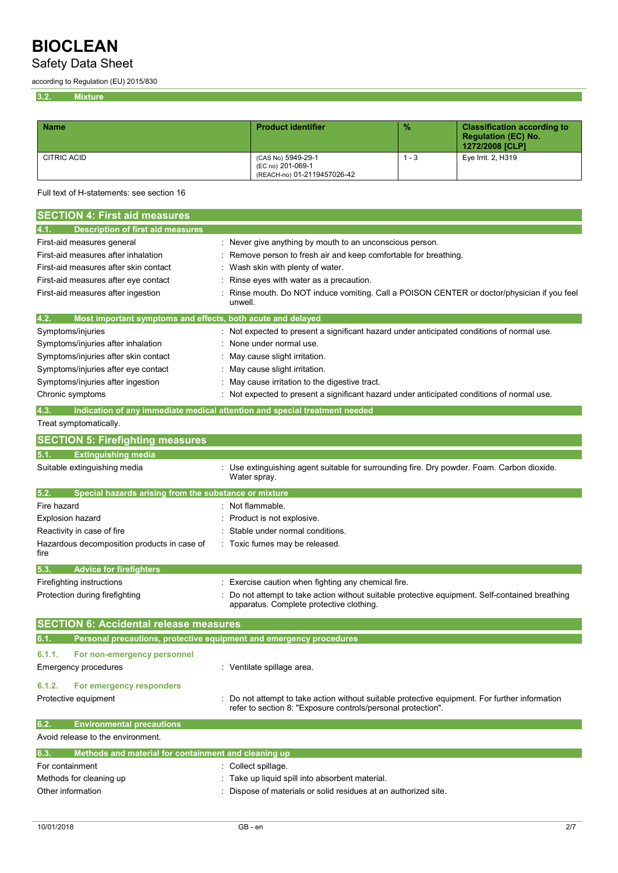## Safety Data Sheet

according to Regulation (EU) 2015/830

**3.2. Mixture**

| <b>Name</b> | <b>Product identifier</b>                                              | $\frac{9}{6}$ | <b>Classification according to</b><br><b>Regulation (EC) No.</b><br>1272/2008 [CLP] |
|-------------|------------------------------------------------------------------------|---------------|-------------------------------------------------------------------------------------|
| CITRIC ACID | (CAS No) 5949-29-1<br>(EC no) 201-069-1<br>(REACH-no) 01-2119457026-42 | - 3           | Eye Irrit. 2, H319                                                                  |

Full text of H-statements: see section 16

| <b>SECTION 4: First aid measures</b>                                        |                                                                                                                                                              |
|-----------------------------------------------------------------------------|--------------------------------------------------------------------------------------------------------------------------------------------------------------|
| <b>Description of first aid measures</b><br>4.1.                            |                                                                                                                                                              |
| First-aid measures general                                                  | Never give anything by mouth to an unconscious person.                                                                                                       |
| First-aid measures after inhalation                                         | Remove person to fresh air and keep comfortable for breathing.                                                                                               |
| First-aid measures after skin contact                                       | Wash skin with plenty of water.                                                                                                                              |
| First-aid measures after eye contact                                        | Rinse eyes with water as a precaution.                                                                                                                       |
| First-aid measures after ingestion                                          | Rinse mouth. Do NOT induce vomiting. Call a POISON CENTER or doctor/physician if you feel                                                                    |
|                                                                             | unwell.                                                                                                                                                      |
| 4.2.<br>Most important symptoms and effects, both acute and delayed         |                                                                                                                                                              |
| Symptoms/injuries                                                           | : Not expected to present a significant hazard under anticipated conditions of normal use.                                                                   |
| Symptoms/injuries after inhalation                                          | None under normal use.                                                                                                                                       |
| Symptoms/injuries after skin contact                                        | May cause slight irritation.                                                                                                                                 |
| Symptoms/injuries after eye contact                                         | May cause slight irritation.                                                                                                                                 |
| Symptoms/injuries after ingestion                                           | May cause irritation to the digestive tract.                                                                                                                 |
| Chronic symptoms                                                            | Not expected to present a significant hazard under anticipated conditions of normal use.                                                                     |
| 4.3.                                                                        | Indication of any immediate medical attention and special treatment needed                                                                                   |
| Treat symptomatically.                                                      |                                                                                                                                                              |
| <b>SECTION 5: Firefighting measures</b>                                     |                                                                                                                                                              |
| <b>Extinguishing media</b><br>5.1.                                          |                                                                                                                                                              |
| Suitable extinguishing media                                                | Use extinguishing agent suitable for surrounding fire. Dry powder. Foam. Carbon dioxide.<br>Water spray.                                                     |
| 5.2.<br>Special hazards arising from the substance or mixture               |                                                                                                                                                              |
| Fire hazard                                                                 | : Not flammable.                                                                                                                                             |
| Explosion hazard                                                            | Product is not explosive.                                                                                                                                    |
| Reactivity in case of fire                                                  | Stable under normal conditions.                                                                                                                              |
| Hazardous decomposition products in case of<br>fire                         | Toxic fumes may be released.                                                                                                                                 |
| <b>Advice for firefighters</b><br>5.3.                                      |                                                                                                                                                              |
| Firefighting instructions                                                   | Exercise caution when fighting any chemical fire.                                                                                                            |
| Protection during firefighting                                              | Do not attempt to take action without suitable protective equipment. Self-contained breathing                                                                |
|                                                                             | apparatus. Complete protective clothing.                                                                                                                     |
| <b>SECTION 6: Accidental release measures</b>                               |                                                                                                                                                              |
| Personal precautions, protective equipment and emergency procedures<br>6.1. |                                                                                                                                                              |
| 6.1.1.<br>For non-emergency personnel                                       |                                                                                                                                                              |
| Emergency procedures                                                        | : Ventilate spillage area.                                                                                                                                   |
|                                                                             |                                                                                                                                                              |
| 6.1.2.<br>For emergency responders                                          |                                                                                                                                                              |
| Protective equipment                                                        | Do not attempt to take action without suitable protective equipment. For further information<br>refer to section 8: "Exposure controls/personal protection". |
| 6.2.<br><b>Environmental precautions</b>                                    |                                                                                                                                                              |
| Avoid release to the environment.                                           |                                                                                                                                                              |
| Methods and material for containment and cleaning up<br>6.3.                |                                                                                                                                                              |
| For containment                                                             | Collect spillage.                                                                                                                                            |
| Methods for cleaning up                                                     | Take up liquid spill into absorbent material.                                                                                                                |
| Other information                                                           | Dispose of materials or solid residues at an authorized site.                                                                                                |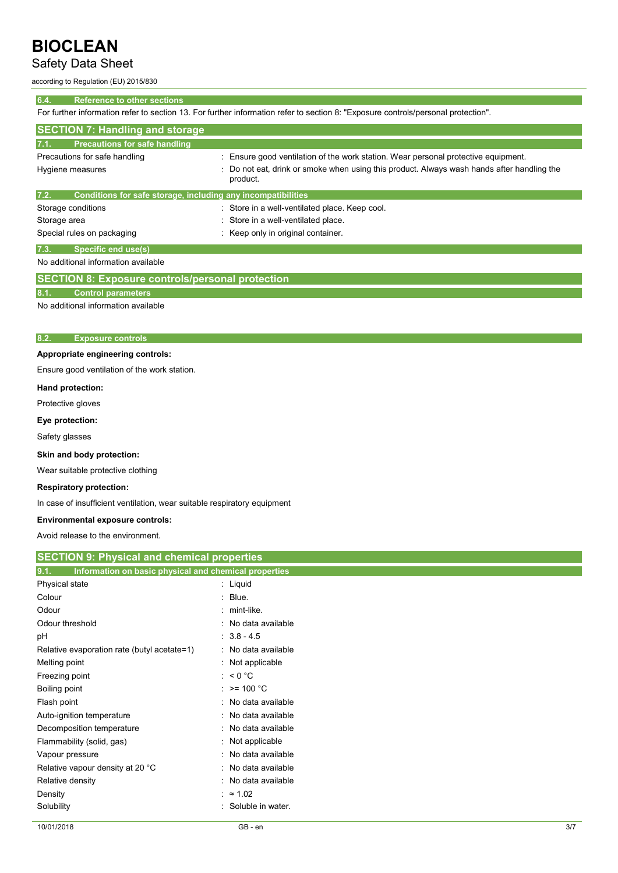## Safety Data Sheet

according to Regulation (EU) 2015/830

### **6.4. Reference to other sections**

For further information refer to section 13. For further information refer to section 8: "Exposure controls/personal protection".

| <b>SECTION 7: Handling and storage</b>                               |                                                                                                            |
|----------------------------------------------------------------------|------------------------------------------------------------------------------------------------------------|
| 7.1.<br>Precautions for safe handling                                |                                                                                                            |
| Precautions for safe handling                                        | : Ensure good ventilation of the work station. Wear personal protective equipment.                         |
| Hygiene measures                                                     | Do not eat, drink or smoke when using this product. Always wash hands after handling the<br>÷.<br>product. |
| 7.2.<br>Conditions for safe storage, including any incompatibilities |                                                                                                            |
| Storage conditions                                                   | : Store in a well-ventilated place. Keep cool.                                                             |
| Storage area                                                         | : Store in a well-ventilated place.                                                                        |
| Special rules on packaging                                           | : Keep only in original container.                                                                         |
| 7.3.<br>Specific end use(s)                                          |                                                                                                            |

No additional information available

## **SECTION 8: Exposure controls/personal protection**

#### **8.1. Control parameters**

No additional information available

### **8.2. Exposure controls**

### **Appropriate engineering controls:**

Ensure good ventilation of the work station.

#### **Hand protection:**

Protective gloves

## **Eye protection:**

Safety glasses

### **Skin and body protection:**

Wear suitable protective clothing

#### **Respiratory protection:**

In case of insufficient ventilation, wear suitable respiratory equipment

#### **Environmental exposure controls:**

Avoid release to the environment.

| <b>SECTION 9: Physical and chemical properties</b>            |                     |  |
|---------------------------------------------------------------|---------------------|--|
| 9.1.<br>Information on basic physical and chemical properties |                     |  |
| Physical state                                                | : Liquid            |  |
| Colour                                                        | Blue.<br>t.         |  |
| Odour                                                         | $:$ mint-like.      |  |
| Odour threshold                                               | : No data available |  |
| рH                                                            | $: 3.8 - 4.5$       |  |
| Relative evaporation rate (butyl acetate=1)                   | : No data available |  |
| Melting point                                                 | : Not applicable    |  |
| Freezing point                                                | : $< 0 °C$          |  |
| Boiling point                                                 | : $> = 100 °C$      |  |
| Flash point                                                   | : No data available |  |
| Auto-ignition temperature                                     | : No data available |  |
| Decomposition temperature                                     | : No data available |  |
| Flammability (solid, gas)                                     | : Not applicable    |  |
| Vapour pressure                                               | : No data available |  |
| Relative vapour density at 20 °C                              | : No data available |  |
| Relative density                                              | No data available   |  |
| Density                                                       | $: \approx 1.02$    |  |
| Solubility                                                    | Soluble in water.   |  |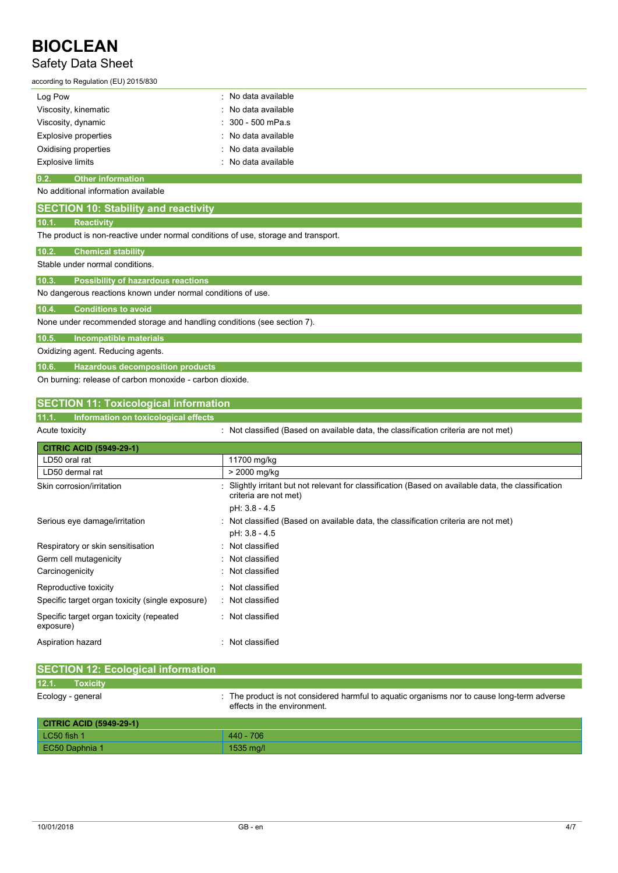## Safety Data Sheet

## according to Regulation (EU) 2015/830

| Log Pow                     | : No data available            |
|-----------------------------|--------------------------------|
| Viscosity, kinematic        | : No data available            |
| Viscosity, dynamic          | $: 300 - 500$ mPa.s            |
| <b>Explosive properties</b> | : No data available            |
| Oxidising properties        | : No data available            |
| <b>Explosive limits</b>     | $\therefore$ No data available |

### **9.2. Other information**

### No additional information available

| <b>SECTION 10: Stability and reactivity</b>                                        |  |  |
|------------------------------------------------------------------------------------|--|--|
| 10.1.<br><b>Reactivity</b>                                                         |  |  |
| The product is non-reactive under normal conditions of use, storage and transport. |  |  |
| 10.2.<br><b>Chemical stability</b>                                                 |  |  |
| Stable under normal conditions.                                                    |  |  |
| 10.3.<br><b>Possibility of hazardous reactions</b>                                 |  |  |
| No dangerous reactions known under normal conditions of use.                       |  |  |
| 10.4.<br><b>Conditions to avoid</b>                                                |  |  |
| None under recommended storage and handling conditions (see section 7).            |  |  |
| 10.5.<br>Incompatible materials                                                    |  |  |
| Oxidizing agent. Reducing agents.                                                  |  |  |
| 10.6.<br><b>Hazardous decomposition products</b>                                   |  |  |
| On burning: release of carbon monoxide - carbon dioxide.                           |  |  |

## **SECTION 11: Toxicological information**

## **11.1. Information on toxicological effects**

| Acute toxicity |
|----------------|
|                |

: Not classified (Based on available data, the classification criteria are not met)

| <b>CITRIC ACID (5949-29-1)</b>                        |                                                                                                                             |
|-------------------------------------------------------|-----------------------------------------------------------------------------------------------------------------------------|
| LD50 oral rat                                         | 11700 mg/kg                                                                                                                 |
| LD50 dermal rat                                       | > 2000 mg/kg                                                                                                                |
| Skin corrosion/irritation                             | Slightly irritant but not relevant for classification (Based on available data, the classification<br>criteria are not met) |
|                                                       | pH: 3.8 - 4.5                                                                                                               |
| Serious eye damage/irritation                         | : Not classified (Based on available data, the classification criteria are not met)                                         |
|                                                       | pH: 3.8 - 4.5                                                                                                               |
| Respiratory or skin sensitisation                     | : Not classified                                                                                                            |
| Germ cell mutagenicity                                | : Not classified                                                                                                            |
| Carcinogenicity                                       | : Not classified                                                                                                            |
| Reproductive toxicity                                 | : Not classified                                                                                                            |
| Specific target organ toxicity (single exposure)      | : Not classified                                                                                                            |
| Specific target organ toxicity (repeated<br>exposure) | : Not classified                                                                                                            |
| Aspiration hazard                                     | : Not classified                                                                                                            |

| <b>SECTION 12: Ecological information</b> |                                                                                                                            |
|-------------------------------------------|----------------------------------------------------------------------------------------------------------------------------|
| 12.1.<br><b>Toxicity</b>                  |                                                                                                                            |
| Ecology - general                         | : The product is not considered harmful to aguatic organisms nor to cause long-term adverse<br>effects in the environment. |
| <b>CITRIC ACID (5949-29-1)</b>            |                                                                                                                            |
| $LC50$ fish 1                             | 440 - 706                                                                                                                  |
| EC50 Daphnia 1                            | 1535 mg/l                                                                                                                  |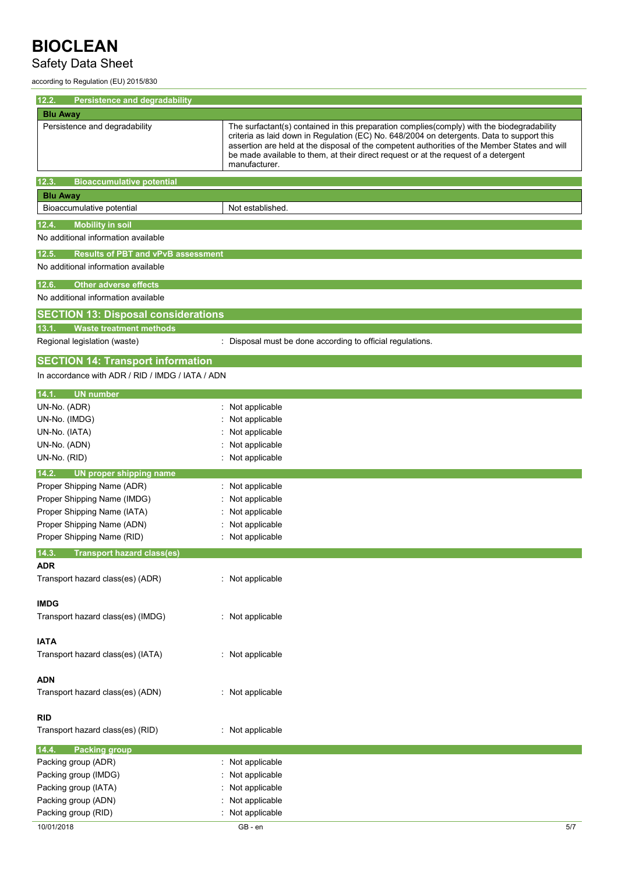## Safety Data Sheet

according to Regulation (EU) 2015/830

| 12.2.<br>Persistence and degradability                                       |                                                                                                                                                                                                                                                                                                                                                                                                  |
|------------------------------------------------------------------------------|--------------------------------------------------------------------------------------------------------------------------------------------------------------------------------------------------------------------------------------------------------------------------------------------------------------------------------------------------------------------------------------------------|
| <b>Blu Away</b>                                                              |                                                                                                                                                                                                                                                                                                                                                                                                  |
| Persistence and degradability                                                | The surfactant(s) contained in this preparation complies(comply) with the biodegradability<br>criteria as laid down in Regulation (EC) No. 648/2004 on detergents. Data to support this<br>assertion are held at the disposal of the competent authorities of the Member States and will<br>be made available to them, at their direct request or at the request of a detergent<br>manufacturer. |
| 12.3.<br><b>Bioaccumulative potential</b>                                    |                                                                                                                                                                                                                                                                                                                                                                                                  |
| <b>Blu Away</b>                                                              |                                                                                                                                                                                                                                                                                                                                                                                                  |
| Bioaccumulative potential                                                    | Not established.                                                                                                                                                                                                                                                                                                                                                                                 |
| <b>Mobility in soil</b><br>12.4.                                             |                                                                                                                                                                                                                                                                                                                                                                                                  |
| No additional information available                                          |                                                                                                                                                                                                                                                                                                                                                                                                  |
| <b>Results of PBT and vPvB assessment</b><br>12.5.                           |                                                                                                                                                                                                                                                                                                                                                                                                  |
| No additional information available                                          |                                                                                                                                                                                                                                                                                                                                                                                                  |
| Other adverse effects<br>12.6.                                               |                                                                                                                                                                                                                                                                                                                                                                                                  |
| No additional information available                                          |                                                                                                                                                                                                                                                                                                                                                                                                  |
|                                                                              |                                                                                                                                                                                                                                                                                                                                                                                                  |
| <b>SECTION 13: Disposal considerations</b><br><b>Waste treatment methods</b> |                                                                                                                                                                                                                                                                                                                                                                                                  |
| 13.1.<br>Regional legislation (waste)                                        | : Disposal must be done according to official regulations.                                                                                                                                                                                                                                                                                                                                       |
|                                                                              |                                                                                                                                                                                                                                                                                                                                                                                                  |
| <b>SECTION 14: Transport information</b>                                     |                                                                                                                                                                                                                                                                                                                                                                                                  |
| In accordance with ADR / RID / IMDG / IATA / ADN                             |                                                                                                                                                                                                                                                                                                                                                                                                  |
| <b>UN number</b><br>14.1.                                                    |                                                                                                                                                                                                                                                                                                                                                                                                  |
| UN-No. (ADR)                                                                 | : Not applicable                                                                                                                                                                                                                                                                                                                                                                                 |
| UN-No. (IMDG)                                                                | Not applicable                                                                                                                                                                                                                                                                                                                                                                                   |
| UN-No. (IATA)                                                                | Not applicable                                                                                                                                                                                                                                                                                                                                                                                   |
| UN-No. (ADN)                                                                 | Not applicable                                                                                                                                                                                                                                                                                                                                                                                   |
| UN-No. (RID)                                                                 | : Not applicable                                                                                                                                                                                                                                                                                                                                                                                 |
| 14.2.<br>UN proper shipping name                                             |                                                                                                                                                                                                                                                                                                                                                                                                  |
| Proper Shipping Name (ADR)                                                   | : Not applicable                                                                                                                                                                                                                                                                                                                                                                                 |
| Proper Shipping Name (IMDG)                                                  | Not applicable                                                                                                                                                                                                                                                                                                                                                                                   |
| Proper Shipping Name (IATA)                                                  | Not applicable                                                                                                                                                                                                                                                                                                                                                                                   |
| Proper Shipping Name (ADN)<br>Proper Shipping Name (RID)                     | Not applicable<br>: Not applicable                                                                                                                                                                                                                                                                                                                                                               |
|                                                                              |                                                                                                                                                                                                                                                                                                                                                                                                  |
| 14.3.<br><b>Transport hazard class(es)</b><br><b>ADR</b>                     |                                                                                                                                                                                                                                                                                                                                                                                                  |
| Transport hazard class(es) (ADR)                                             | : Not applicable                                                                                                                                                                                                                                                                                                                                                                                 |
|                                                                              |                                                                                                                                                                                                                                                                                                                                                                                                  |
| <b>IMDG</b>                                                                  |                                                                                                                                                                                                                                                                                                                                                                                                  |
| Transport hazard class(es) (IMDG)                                            | : Not applicable                                                                                                                                                                                                                                                                                                                                                                                 |
|                                                                              |                                                                                                                                                                                                                                                                                                                                                                                                  |
| <b>IATA</b>                                                                  |                                                                                                                                                                                                                                                                                                                                                                                                  |
| Transport hazard class(es) (IATA)                                            | : Not applicable                                                                                                                                                                                                                                                                                                                                                                                 |
|                                                                              |                                                                                                                                                                                                                                                                                                                                                                                                  |
| <b>ADN</b>                                                                   |                                                                                                                                                                                                                                                                                                                                                                                                  |
| Transport hazard class(es) (ADN)                                             | : Not applicable                                                                                                                                                                                                                                                                                                                                                                                 |
| <b>RID</b>                                                                   |                                                                                                                                                                                                                                                                                                                                                                                                  |
| Transport hazard class(es) (RID)                                             | : Not applicable                                                                                                                                                                                                                                                                                                                                                                                 |
|                                                                              |                                                                                                                                                                                                                                                                                                                                                                                                  |
| 14.4.<br><b>Packing group</b>                                                | Not applicable                                                                                                                                                                                                                                                                                                                                                                                   |
| Packing group (ADR)<br>Packing group (IMDG)                                  | Not applicable                                                                                                                                                                                                                                                                                                                                                                                   |
| Packing group (IATA)                                                         | Not applicable                                                                                                                                                                                                                                                                                                                                                                                   |
| Packing group (ADN)                                                          | Not applicable                                                                                                                                                                                                                                                                                                                                                                                   |
| Packing group (RID)                                                          | : Not applicable                                                                                                                                                                                                                                                                                                                                                                                 |
| 10/01/2018                                                                   | GB - en<br>5/7                                                                                                                                                                                                                                                                                                                                                                                   |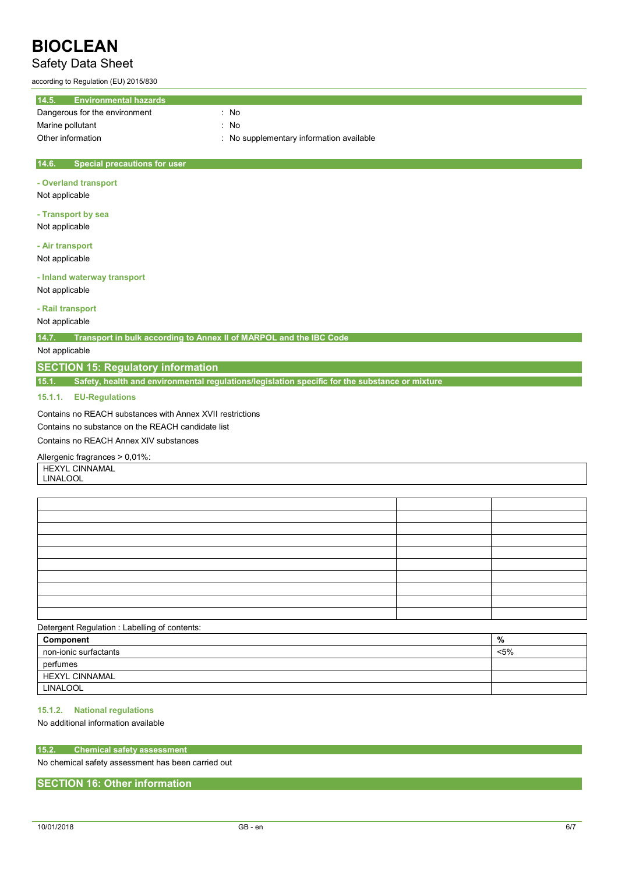## Safety Data Sheet

according to Regulation (EU) 2015/830

| 14.5.<br><b>Environmental hazards</b>        |                                          |
|----------------------------------------------|------------------------------------------|
| Dangerous for the environment                | : No                                     |
| Marine pollutant                             | : No                                     |
| Other information                            | : No supplementary information available |
|                                              |                                          |
| 14.6.<br><b>Special precautions for user</b> |                                          |
| - Overland transport                         |                                          |
| Not applicable                               |                                          |

**- Transport by sea** Not applicable

**- Air transport** Not applicable

**- Inland waterway transport** Not applicable

**- Rail transport**

Not applicable

**14.7. Transport in bulk according to Annex II of MARPOL and the IBC Code**

Not applicable

## **SECTION 15: Regulatory information**

**15.1. Safety, health and environmental regulations/legislation specific for the substance or mixture**

### **15.1.1. EU-Regulations**

Contains no REACH substances with Annex XVII restrictions

Contains no substance on the REACH candidate list

Contains no REACH Annex XIV substances

#### Allergenic fragrances > 0,01%:

HEXYL CINNAMAL

LINALOOL

### Detergent Regulation : Labelling of contents:

| Component                | %   |
|--------------------------|-----|
| non-ionic surfactants  ' | <5% |
| perfumes                 |     |
| <b>HEXYL CINNAMAL</b>    |     |
| LINALOOL                 |     |

## **15.1.2. National regulations**

## No additional information available

### **15.2. Chemical safety assessment**

No chemical safety assessment has been carried out

## **SECTION 16: Other information**